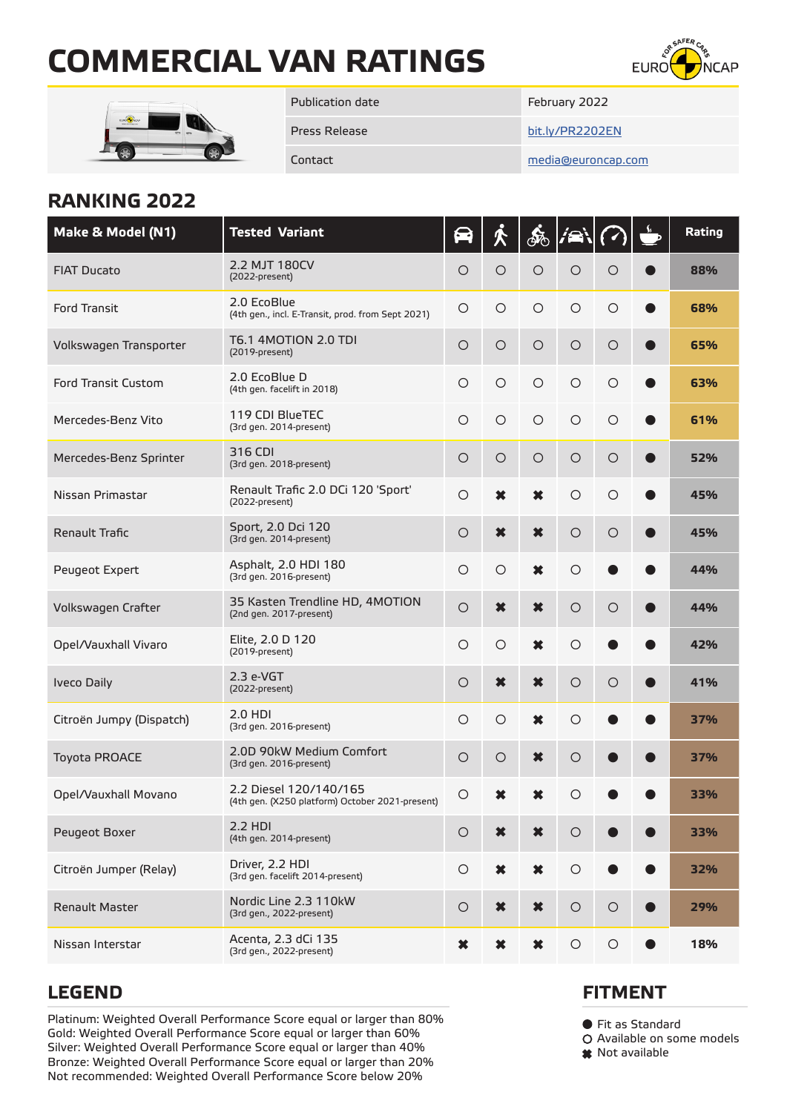# **COMMERCIAL VAN RATINGS**





Publication date February 2022

Press Release [bit.ly/PR2202EN](https://bit.ly/PR2202EN)

Contact [media@euroncap.com](mailto:media%40euroncap.com?subject=Commercial%20Van%20Ratings%202022)

## **RANKING 2022**

| Make & Model (N1)          | <b>Tested Variant</b>                                                     |         |                     | ණි                  | IÆ         |            |           | Rating |
|----------------------------|---------------------------------------------------------------------------|---------|---------------------|---------------------|------------|------------|-----------|--------|
| <b>FIAT Ducato</b>         | 2.2 MJT 180CV<br>(2022-present)                                           | $\circ$ | $\circ$             | $\circ$             | $\circ$    | $\circ$    |           | 88%    |
| <b>Ford Transit</b>        | 2.0 EcoBlue<br>(4th gen., incl. E-Transit, prod. from Sept 2021)          | $\circ$ | $\circ$             | $\circ$             | $\circ$    | $\circ$    |           | 68%    |
| Volkswagen Transporter     | T6.1 4MOTION 2.0 TDI<br>(2019-present)                                    | $\circ$ | $\circ$             | $\circ$             | $\circ$    | $\circ$    |           | 65%    |
| <b>Ford Transit Custom</b> | 2.0 EcoBlue D<br>(4th gen. facelift in 2018)                              | $\circ$ | $\circ$             | $\circ$             | $\circ$    | $\circ$    |           | 63%    |
| Mercedes-Benz Vito         | 119 CDI BlueTEC<br>(3rd gen. 2014-present)                                | $\circ$ | $\circ$             | $\circ$             | $\circ$    | $\circ$    |           | 61%    |
| Mercedes-Benz Sprinter     | 316 CDI<br>(3rd gen. 2018-present)                                        | $\circ$ | $\circ$             | $\bigcirc$          | $\circ$    | $\circ$    |           | 52%    |
| Nissan Primastar           | Renault Trafic 2.0 DCi 120 'Sport'<br>(2022-present)                      | $\circ$ | $\boldsymbol{\ast}$ | $\ast$              | $\circ$    | $\circ$    |           | 45%    |
| Renault Trafic             | Sport, 2.0 Dci 120<br>(3rd gen. 2014-present)                             | $\circ$ | $\boldsymbol{\ast}$ | $\pmb{\times}$      | $\circ$    | $\circ$    |           | 45%    |
| Peugeot Expert             | Asphalt, 2.0 HDI 180<br>(3rd gen. 2016-present)                           | $\circ$ | $\circ$             | $\boldsymbol{\ast}$ | $\circ$    |            |           | 44%    |
| Volkswagen Crafter         | 35 Kasten Trendline HD, 4MOTION<br>(2nd gen. 2017-present)                | $\circ$ | $\ast$              | $\ast$              | $\circ$    | $\circ$    |           | 44%    |
| Opel/Vauxhall Vivaro       | Elite, 2.0 D 120<br>(2019-present)                                        | $\circ$ | $\circ$             | $\boldsymbol{\ast}$ | $\circ$    |            |           | 42%    |
| <b>Iveco Daily</b>         | $2.3$ e-VGT<br>(2022-present)                                             | $\circ$ | ×                   | $\ast$              | $\circ$    | $\circ$    |           | 41%    |
| Citroën Jumpy (Dispatch)   | 2.0 HDI<br>(3rd gen. 2016-present)                                        | $\circ$ | $\circ$             | $\boldsymbol{\ast}$ | $\circ$    |            |           | 37%    |
| <b>Toyota PROACE</b>       | 2.0D 90kW Medium Comfort<br>(3rd gen. 2016-present)                       | $\circ$ | $\circ$             | $\ast$              | $\circ$    |            |           | 37%    |
| Opel/Vauxhall Movano       | 2.2 Diesel 120/140/165<br>(4th gen. (X250 platform) October 2021-present) | O       |                     |                     | О          |            |           | 33%    |
| Peugeot Boxer              | $2.2$ HDI<br>(4th gen. 2014-present)                                      | $\circ$ | ×                   | ✖                   | $\circ$    |            |           | 33%    |
| Citroën Jumper (Relay)     | Driver, 2.2 HDI<br>(3rd gen. facelift 2014-present)                       | $\circ$ | ×                   | $\boldsymbol{\ast}$ | $\bigcirc$ |            |           | 32%    |
| Renault Master             | Nordic Line 2.3 110kW<br>(3rd gen., 2022-present)                         | $\circ$ | $\boldsymbol{\ast}$ | $\boldsymbol{\ast}$ | $\circ$    | $\circ$    | $\bullet$ | 29%    |
| Nissan Interstar           | Acenta, 2.3 dCi 135<br>(3rd gen., 2022-present)                           | ×       | ×                   | ×                   | $\bigcirc$ | $\bigcirc$ |           | 18%    |

Platinum: Weighted Overall Performance Score equal or larger than 80% Gold: Weighted Overall Performance Score equal or larger than 60% Silver: Weighted Overall Performance Score equal or larger than 40% Bronze: Weighted Overall Performance Score equal or larger than 20% Not recommended: Weighted Overall Performance Score below 20%

### **LEGEND FITMENT**

● Fit as Standard

Available on some models

\* Not available